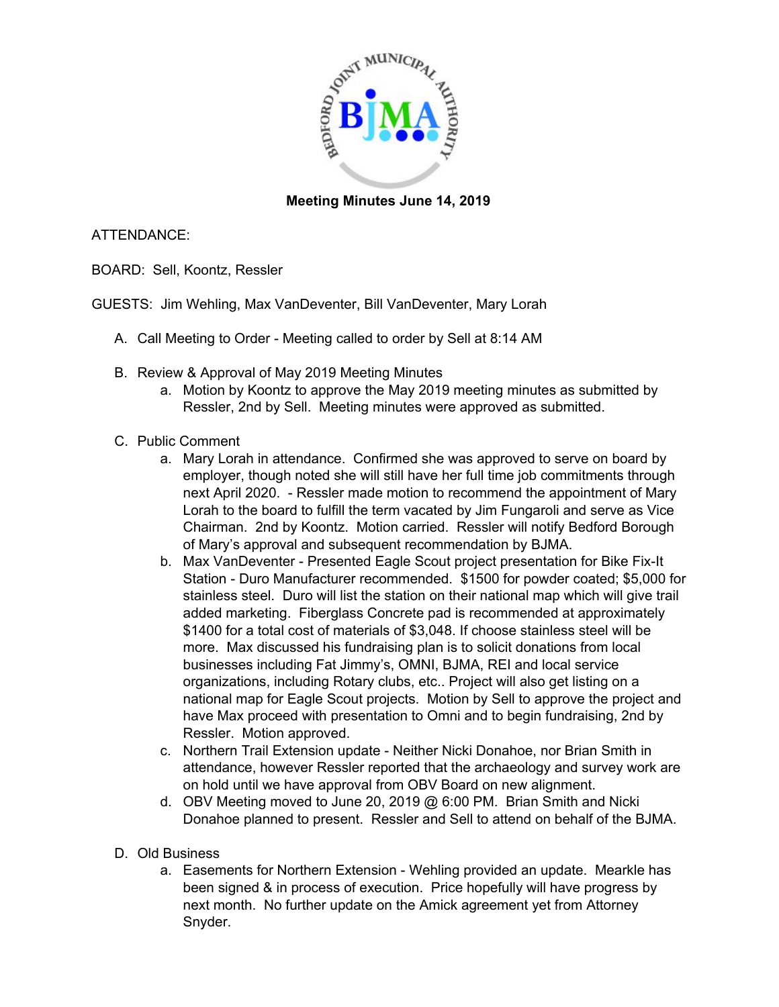

## **Meeting Minutes June 14, 2019**

## ATTENDANCE:

BOARD: Sell, Koontz, Ressler

GUESTS: Jim Wehling, Max VanDeventer, Bill VanDeventer, Mary Lorah

- A. Call Meeting to Order Meeting called to order by Sell at 8:14 AM
- B. Review & Approval of May 2019 Meeting Minutes
	- a. Motion by Koontz to approve the May 2019 meeting minutes as submitted by Ressler, 2nd by Sell. Meeting minutes were approved as submitted.
- C. Public Comment
	- a. Mary Lorah in attendance. Confirmed she was approved to serve on board by employer, though noted she will still have her full time job commitments through next April 2020. - Ressler made motion to recommend the appointment of Mary Lorah to the board to fulfill the term vacated by Jim Fungaroli and serve as Vice Chairman. 2nd by Koontz. Motion carried. Ressler will notify Bedford Borough of Mary's approval and subsequent recommendation by BJMA.
	- b. Max VanDeventer Presented Eagle Scout project presentation for Bike Fix-It Station - Duro Manufacturer recommended. \$1500 for powder coated; \$5,000 for stainless steel. Duro will list the station on their national map which will give trail added marketing. Fiberglass Concrete pad is recommended at approximately \$1400 for a total cost of materials of \$3,048. If choose stainless steel will be more. Max discussed his fundraising plan is to solicit donations from local businesses including Fat Jimmy's, OMNI, BJMA, REI and local service organizations, including Rotary clubs, etc.. Project will also get listing on a national map for Eagle Scout projects. Motion by Sell to approve the project and have Max proceed with presentation to Omni and to begin fundraising, 2nd by Ressler. Motion approved.
	- c. Northern Trail Extension update Neither Nicki Donahoe, nor Brian Smith in attendance, however Ressler reported that the archaeology and survey work are on hold until we have approval from OBV Board on new alignment.
	- d. OBV Meeting moved to June 20, 2019 @ 6:00 PM. Brian Smith and Nicki Donahoe planned to present. Ressler and Sell to attend on behalf of the BJMA.
- D. Old Business
	- a. Easements for Northern Extension Wehling provided an update. Mearkle has been signed & in process of execution. Price hopefully will have progress by next month. No further update on the Amick agreement yet from Attorney Snyder.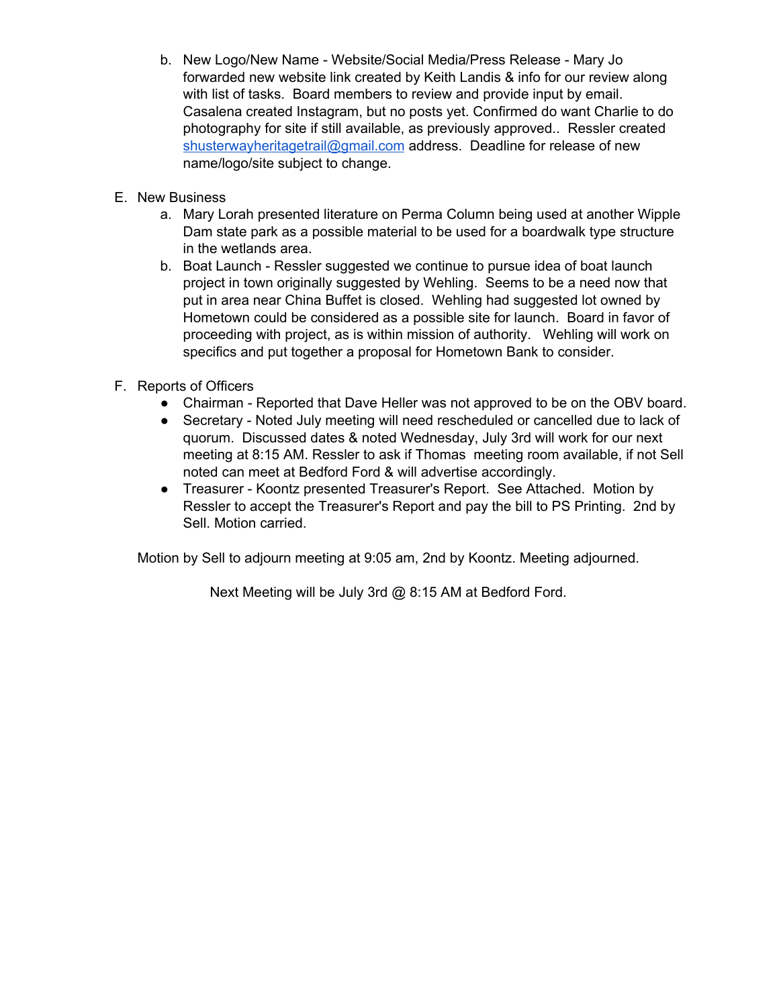- b. New Logo/New Name Website/Social Media/Press Release Mary Jo forwarded new website link created by Keith Landis & info for our review along with list of tasks. Board members to review and provide input by email. Casalena created Instagram, but no posts yet. Confirmed do want Charlie to do photography for site if still available, as previously approved.. Ressler created [shusterwayheritagetrail@gmail.com](mailto:shusterwayheritagetrail@gmail.com) address. Deadline for release of new name/logo/site subject to change.
- E. New Business
	- a. Mary Lorah presented literature on Perma Column being used at another Wipple Dam state park as a possible material to be used for a boardwalk type structure in the wetlands area.
	- b. Boat Launch Ressler suggested we continue to pursue idea of boat launch project in town originally suggested by Wehling. Seems to be a need now that put in area near China Buffet is closed. Wehling had suggested lot owned by Hometown could be considered as a possible site for launch. Board in favor of proceeding with project, as is within mission of authority. Wehling will work on specifics and put together a proposal for Hometown Bank to consider.
- F. Reports of Officers
	- Chairman Reported that Dave Heller was not approved to be on the OBV board.
	- Secretary Noted July meeting will need rescheduled or cancelled due to lack of quorum. Discussed dates & noted Wednesday, July 3rd will work for our next meeting at 8:15 AM. Ressler to ask if Thomas meeting room available, if not Sell noted can meet at Bedford Ford & will advertise accordingly.
	- Treasurer Koontz presented Treasurer's Report. See Attached. Motion by Ressler to accept the Treasurer's Report and pay the bill to PS Printing. 2nd by Sell. Motion carried.

Motion by Sell to adjourn meeting at 9:05 am, 2nd by Koontz. Meeting adjourned.

Next Meeting will be July 3rd @ 8:15 AM at Bedford Ford.